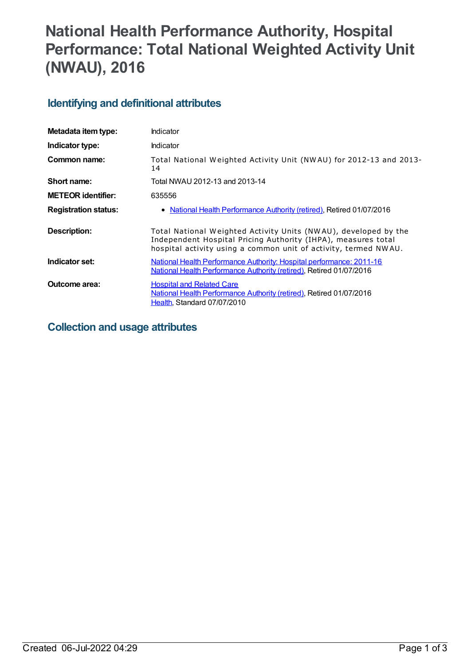# **National Health Performance Authority, Hospital Performance: Total National Weighted Activity Unit (NWAU), 2016**

## **Identifying and definitional attributes**

| Metadata item type:         | Indicator                                                                                                                                                                                           |
|-----------------------------|-----------------------------------------------------------------------------------------------------------------------------------------------------------------------------------------------------|
| Indicator type:             | Indicator                                                                                                                                                                                           |
| Common name:                | Total National Weighted Activity Unit (NWAU) for 2012-13 and 2013-<br>14                                                                                                                            |
| Short name:                 | Total NWAU 2012-13 and 2013-14                                                                                                                                                                      |
| <b>METEOR identifier:</b>   | 635556                                                                                                                                                                                              |
| <b>Registration status:</b> | • National Health Performance Authority (retired), Retired 01/07/2016                                                                                                                               |
| <b>Description:</b>         | Total National Weighted Activity Units (NWAU), developed by the<br>Independent Hospital Pricing Authority (IHPA), measures total<br>hospital activity using a common unit of activity, termed NWAU. |
| Indicator set:              | National Health Performance Authority: Hospital performance: 2011-16<br>National Health Performance Authority (retired), Retired 01/07/2016                                                         |
| Outcome area:               | <b>Hospital and Related Care</b><br>National Health Performance Authority (retired), Retired 01/07/2016<br>Health, Standard 07/07/2010                                                              |

## **Collection and usage attributes**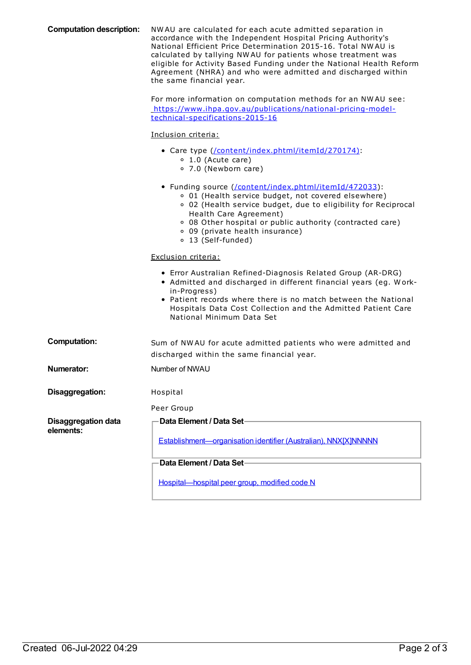| <b>Computation description:</b>         | NWAU are calculated for each acute admitted separation in<br>accordance with the Independent Hospital Pricing Authority's<br>National Efficient Price Determination 2015-16. Total NWAU is<br>calculated by tallying NWAU for patients whose treatment was<br>eligible for Activity Based Funding under the National Health Reform<br>Agreement (NHRA) and who were admitted and discharged within<br>the same financial year.<br>For more information on computation methods for an NWAU see:<br>https://www.ihpa.gov.au/publications/national-pricing-model- |
|-----------------------------------------|----------------------------------------------------------------------------------------------------------------------------------------------------------------------------------------------------------------------------------------------------------------------------------------------------------------------------------------------------------------------------------------------------------------------------------------------------------------------------------------------------------------------------------------------------------------|
|                                         | technical-specifications-2015-16                                                                                                                                                                                                                                                                                                                                                                                                                                                                                                                               |
|                                         | Inclusion criteria:                                                                                                                                                                                                                                                                                                                                                                                                                                                                                                                                            |
|                                         | • Care type (/content/index.phtml/itemId/270174):<br>$0$ 1.0 (Acute care)<br>○ 7.0 (Newborn care)                                                                                                                                                                                                                                                                                                                                                                                                                                                              |
|                                         | • Funding source (/content/index.phtml/itemId/472033):<br>○ 01 (Health service budget, not covered elsewhere)<br>○ 02 (Health service budget, due to eligibility for Reciprocal<br>Health Care Agreement)<br>○ 08 Other hospital or public authority (contracted care)<br>○ 09 (private health insurance)<br>o 13 (Self-funded)                                                                                                                                                                                                                                |
|                                         | Exclusion criteria:                                                                                                                                                                                                                                                                                                                                                                                                                                                                                                                                            |
|                                         | • Error Australian Refined-Diagnosis Related Group (AR-DRG)<br>• Admitted and discharged in different financial years (eg. Work-<br>in-Progress)<br>• Patient records where there is no match between the National<br>Hospitals Data Cost Collection and the Admitted Patient Care<br>National Minimum Data Set                                                                                                                                                                                                                                                |
| <b>Computation:</b>                     | Sum of NWAU for acute admitted patients who were admitted and<br>discharged within the same financial year.                                                                                                                                                                                                                                                                                                                                                                                                                                                    |
| <b>Numerator:</b>                       | Number of NWAU                                                                                                                                                                                                                                                                                                                                                                                                                                                                                                                                                 |
| Disaggregation:                         | Hospital                                                                                                                                                                                                                                                                                                                                                                                                                                                                                                                                                       |
|                                         | Peer Group                                                                                                                                                                                                                                                                                                                                                                                                                                                                                                                                                     |
| <b>Disaggregation data</b><br>elements: | Data Element / Data Set-<br>Establishment-organisation identifier (Australian), NNX[X]NNNNN                                                                                                                                                                                                                                                                                                                                                                                                                                                                    |
|                                         | Data Element / Data Set-                                                                                                                                                                                                                                                                                                                                                                                                                                                                                                                                       |
|                                         | Hospital-hospital peer group, modified code N                                                                                                                                                                                                                                                                                                                                                                                                                                                                                                                  |